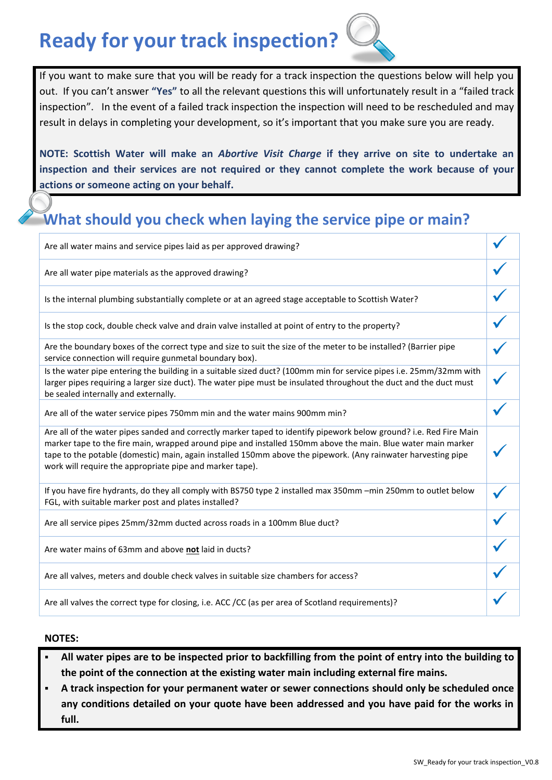## **Ready for your track inspection?**

If you want to make sure that you will be ready for a track inspection the questions below will help you out. If you can't answer **"Yes"** to all the relevant questions this will unfortunately result in a "failed track inspection". In the event of a failed track inspection the inspection will need to be rescheduled and may result in delays in completing your development, so it's important that you make sure you are ready.

**NOTE: Scottish Water will make an** *Abortive Visit Charge* **if they arrive on site to undertake an inspection and their services are not required or they cannot complete the work because of your actions or someone acting on your behalf.**

### **What should you check when laying the service pipe or main?**

| Are all water mains and service pipes laid as per approved drawing?                                                                                                                                                                                                                                                                                                                                             |  |
|-----------------------------------------------------------------------------------------------------------------------------------------------------------------------------------------------------------------------------------------------------------------------------------------------------------------------------------------------------------------------------------------------------------------|--|
| Are all water pipe materials as the approved drawing?                                                                                                                                                                                                                                                                                                                                                           |  |
| Is the internal plumbing substantially complete or at an agreed stage acceptable to Scottish Water?                                                                                                                                                                                                                                                                                                             |  |
| Is the stop cock, double check valve and drain valve installed at point of entry to the property?                                                                                                                                                                                                                                                                                                               |  |
| Are the boundary boxes of the correct type and size to suit the size of the meter to be installed? (Barrier pipe<br>service connection will require gunmetal boundary box).                                                                                                                                                                                                                                     |  |
| Is the water pipe entering the building in a suitable sized duct? (100mm min for service pipes i.e. 25mm/32mm with<br>larger pipes requiring a larger size duct). The water pipe must be insulated throughout the duct and the duct must<br>be sealed internally and externally.                                                                                                                                |  |
| Are all of the water service pipes 750mm min and the water mains 900mm min?                                                                                                                                                                                                                                                                                                                                     |  |
| Are all of the water pipes sanded and correctly marker taped to identify pipework below ground? i.e. Red Fire Main<br>marker tape to the fire main, wrapped around pipe and installed 150mm above the main. Blue water main marker<br>tape to the potable (domestic) main, again installed 150mm above the pipework. (Any rainwater harvesting pipe<br>work will require the appropriate pipe and marker tape). |  |
| If you have fire hydrants, do they all comply with BS750 type 2 installed max 350mm -min 250mm to outlet below<br>FGL, with suitable marker post and plates installed?                                                                                                                                                                                                                                          |  |
| Are all service pipes 25mm/32mm ducted across roads in a 100mm Blue duct?                                                                                                                                                                                                                                                                                                                                       |  |
| Are water mains of 63mm and above not laid in ducts?                                                                                                                                                                                                                                                                                                                                                            |  |
| Are all valves, meters and double check valves in suitable size chambers for access?                                                                                                                                                                                                                                                                                                                            |  |
| Are all valves the correct type for closing, i.e. ACC /CC (as per area of Scotland requirements)?                                                                                                                                                                                                                                                                                                               |  |

#### **NOTES:**

- **All water pipes are to be inspected prior to backfilling from the point of entry into the building to the point of the connection at the existing water main including external fire mains.**
- **A track inspection for your permanent water or sewer connections should only be scheduled once any conditions detailed on your quote have been addressed and you have paid for the works in full.**